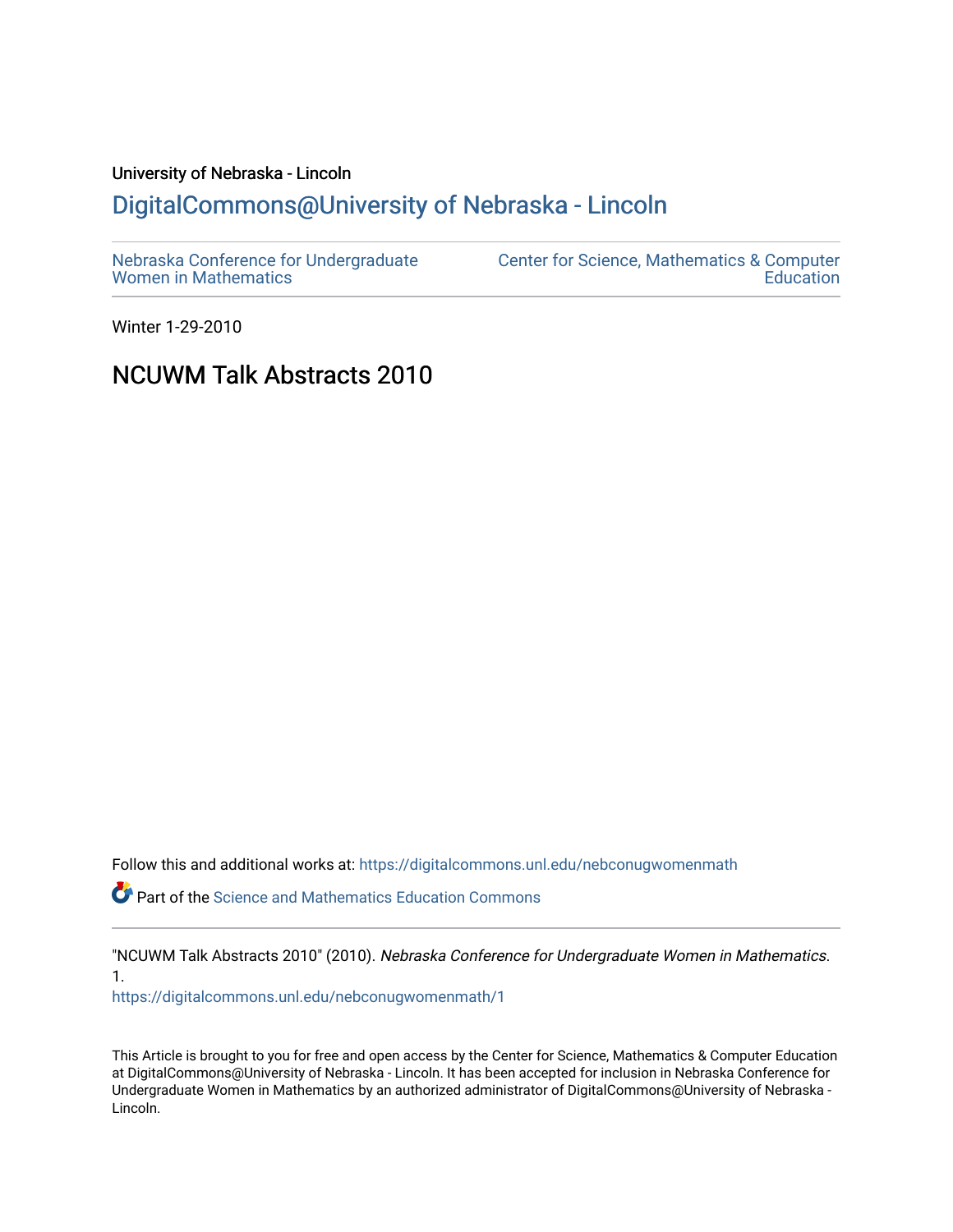# University of Nebraska - Lincoln [DigitalCommons@University of Nebraska - Lincoln](https://digitalcommons.unl.edu/)

| Nebraska Conference for Undergraduate | <b>Center for Science, Mathematics &amp; Computer</b> |
|---------------------------------------|-------------------------------------------------------|
| <b>Women in Mathematics</b>           | Education                                             |

Winter 1-29-2010

## NCUWM Talk Abstracts 2010

Follow this and additional works at: [https://digitalcommons.unl.edu/nebconugwomenmath](https://digitalcommons.unl.edu/nebconugwomenmath?utm_source=digitalcommons.unl.edu%2Fnebconugwomenmath%2F1&utm_medium=PDF&utm_campaign=PDFCoverPages)

**P** Part of the Science and Mathematics Education Commons

"NCUWM Talk Abstracts 2010" (2010). Nebraska Conference for Undergraduate Women in Mathematics. 1.

[https://digitalcommons.unl.edu/nebconugwomenmath/1](https://digitalcommons.unl.edu/nebconugwomenmath/1?utm_source=digitalcommons.unl.edu%2Fnebconugwomenmath%2F1&utm_medium=PDF&utm_campaign=PDFCoverPages)

This Article is brought to you for free and open access by the Center for Science, Mathematics & Computer Education at DigitalCommons@University of Nebraska - Lincoln. It has been accepted for inclusion in Nebraska Conference for Undergraduate Women in Mathematics by an authorized administrator of DigitalCommons@University of Nebraska - Lincoln.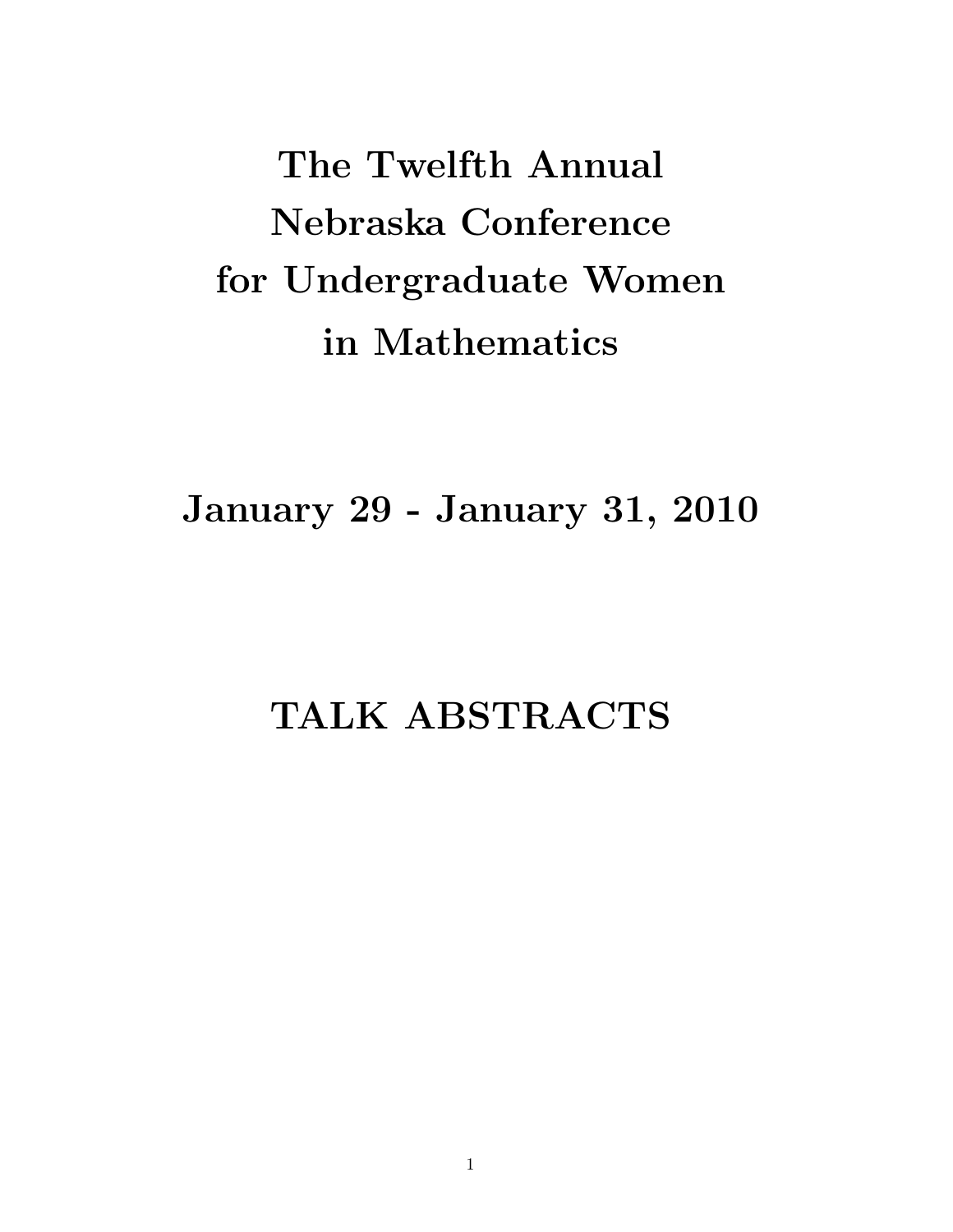The Twelfth Annual Nebraska Conference for Undergraduate Women in Mathematics

January 29 - January 31, 2010

# TALK ABSTRACTS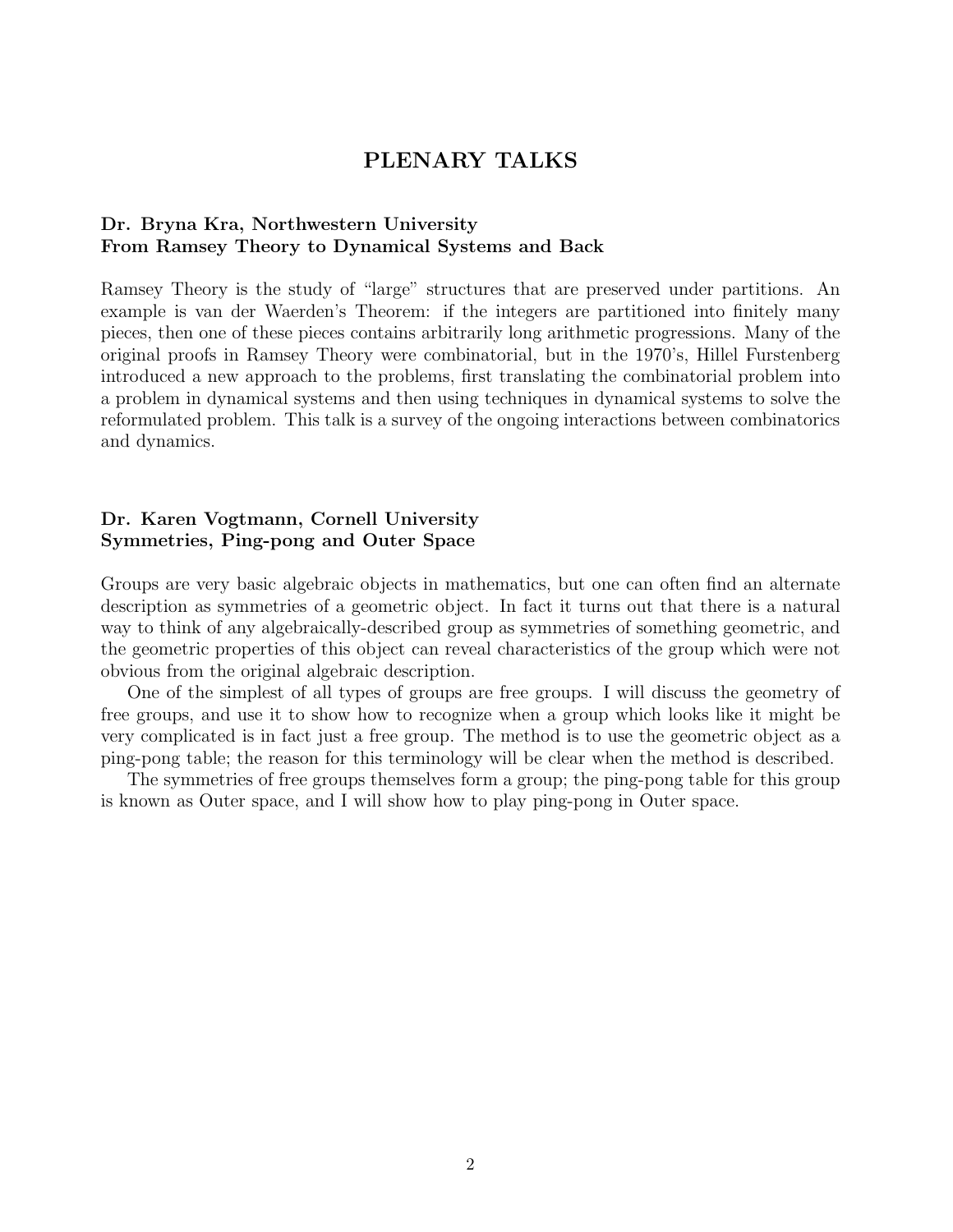## PLENARY TALKS

#### Dr. Bryna Kra, Northwestern University From Ramsey Theory to Dynamical Systems and Back

Ramsey Theory is the study of "large" structures that are preserved under partitions. An example is van der Waerden's Theorem: if the integers are partitioned into finitely many pieces, then one of these pieces contains arbitrarily long arithmetic progressions. Many of the original proofs in Ramsey Theory were combinatorial, but in the 1970's, Hillel Furstenberg introduced a new approach to the problems, first translating the combinatorial problem into a problem in dynamical systems and then using techniques in dynamical systems to solve the reformulated problem. This talk is a survey of the ongoing interactions between combinatorics and dynamics.

### Dr. Karen Vogtmann, Cornell University Symmetries, Ping-pong and Outer Space

Groups are very basic algebraic objects in mathematics, but one can often find an alternate description as symmetries of a geometric object. In fact it turns out that there is a natural way to think of any algebraically-described group as symmetries of something geometric, and the geometric properties of this object can reveal characteristics of the group which were not obvious from the original algebraic description.

One of the simplest of all types of groups are free groups. I will discuss the geometry of free groups, and use it to show how to recognize when a group which looks like it might be very complicated is in fact just a free group. The method is to use the geometric object as a ping-pong table; the reason for this terminology will be clear when the method is described.

The symmetries of free groups themselves form a group; the ping-pong table for this group is known as Outer space, and I will show how to play ping-pong in Outer space.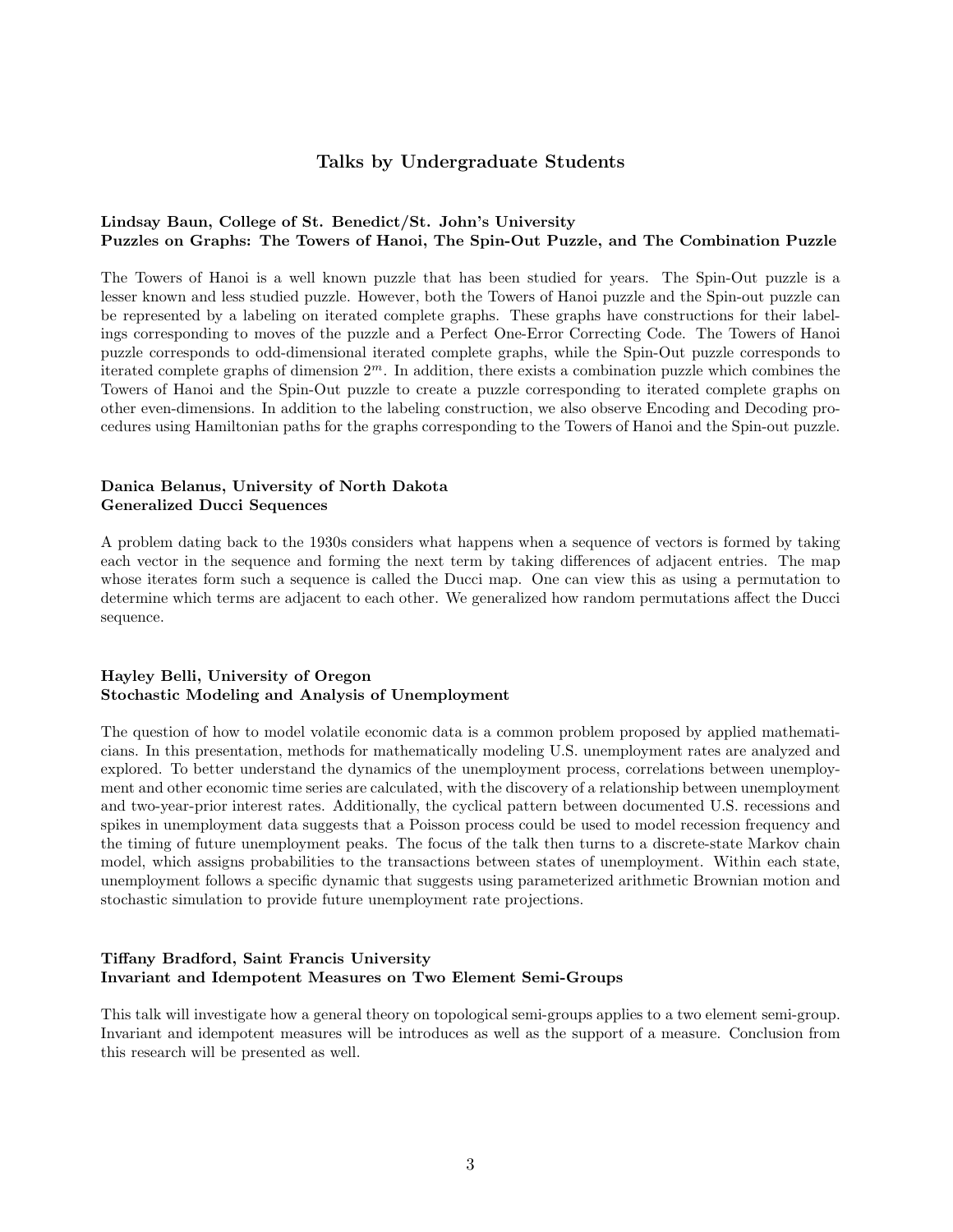#### Talks by Undergraduate Students

#### Lindsay Baun, College of St. Benedict/St. John's University Puzzles on Graphs: The Towers of Hanoi, The Spin-Out Puzzle, and The Combination Puzzle

The Towers of Hanoi is a well known puzzle that has been studied for years. The Spin-Out puzzle is a lesser known and less studied puzzle. However, both the Towers of Hanoi puzzle and the Spin-out puzzle can be represented by a labeling on iterated complete graphs. These graphs have constructions for their labelings corresponding to moves of the puzzle and a Perfect One-Error Correcting Code. The Towers of Hanoi puzzle corresponds to odd-dimensional iterated complete graphs, while the Spin-Out puzzle corresponds to iterated complete graphs of dimension  $2<sup>m</sup>$ . In addition, there exists a combination puzzle which combines the Towers of Hanoi and the Spin-Out puzzle to create a puzzle corresponding to iterated complete graphs on other even-dimensions. In addition to the labeling construction, we also observe Encoding and Decoding procedures using Hamiltonian paths for the graphs corresponding to the Towers of Hanoi and the Spin-out puzzle.

#### Danica Belanus, University of North Dakota Generalized Ducci Sequences

A problem dating back to the 1930s considers what happens when a sequence of vectors is formed by taking each vector in the sequence and forming the next term by taking differences of adjacent entries. The map whose iterates form such a sequence is called the Ducci map. One can view this as using a permutation to determine which terms are adjacent to each other. We generalized how random permutations affect the Ducci sequence.

#### Hayley Belli, University of Oregon Stochastic Modeling and Analysis of Unemployment

The question of how to model volatile economic data is a common problem proposed by applied mathematicians. In this presentation, methods for mathematically modeling U.S. unemployment rates are analyzed and explored. To better understand the dynamics of the unemployment process, correlations between unemployment and other economic time series are calculated, with the discovery of a relationship between unemployment and two-year-prior interest rates. Additionally, the cyclical pattern between documented U.S. recessions and spikes in unemployment data suggests that a Poisson process could be used to model recession frequency and the timing of future unemployment peaks. The focus of the talk then turns to a discrete-state Markov chain model, which assigns probabilities to the transactions between states of unemployment. Within each state, unemployment follows a specific dynamic that suggests using parameterized arithmetic Brownian motion and stochastic simulation to provide future unemployment rate projections.

#### Tiffany Bradford, Saint Francis University Invariant and Idempotent Measures on Two Element Semi-Groups

This talk will investigate how a general theory on topological semi-groups applies to a two element semi-group. Invariant and idempotent measures will be introduces as well as the support of a measure. Conclusion from this research will be presented as well.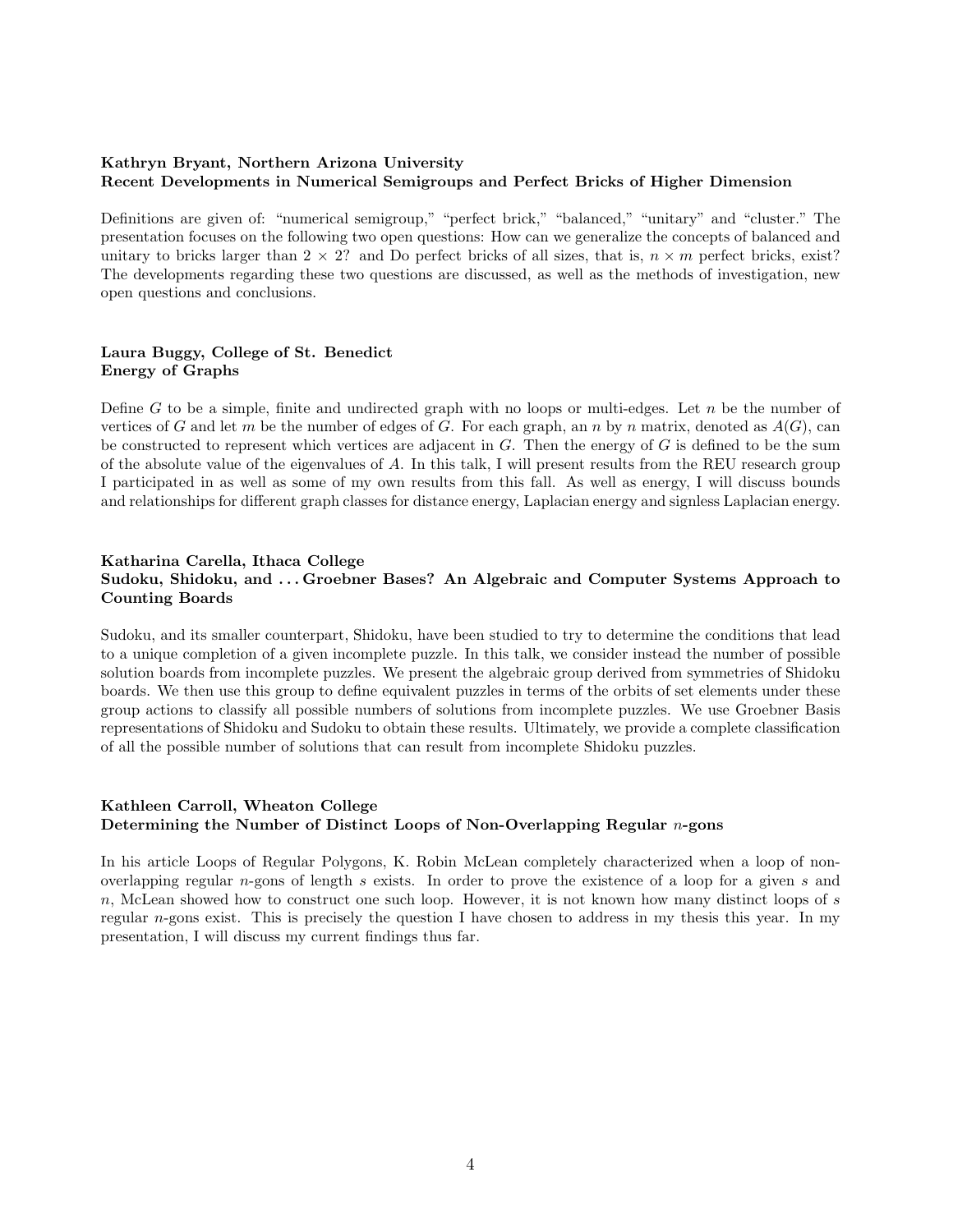#### Kathryn Bryant, Northern Arizona University Recent Developments in Numerical Semigroups and Perfect Bricks of Higher Dimension

Definitions are given of: "numerical semigroup," "perfect brick," "balanced," "unitary" and "cluster." The presentation focuses on the following two open questions: How can we generalize the concepts of balanced and unitary to bricks larger than  $2 \times 2$ ? and Do perfect bricks of all sizes, that is,  $n \times m$  perfect bricks, exist? The developments regarding these two questions are discussed, as well as the methods of investigation, new open questions and conclusions.

#### Laura Buggy, College of St. Benedict Energy of Graphs

Define  $G$  to be a simple, finite and undirected graph with no loops or multi-edges. Let  $n$  be the number of vertices of G and let m be the number of edges of G. For each graph, an n by n matrix, denoted as  $A(G)$ , can be constructed to represent which vertices are adjacent in  $G$ . Then the energy of  $G$  is defined to be the sum of the absolute value of the eigenvalues of A. In this talk, I will present results from the REU research group I participated in as well as some of my own results from this fall. As well as energy, I will discuss bounds and relationships for different graph classes for distance energy, Laplacian energy and signless Laplacian energy.

#### Katharina Carella, Ithaca College Sudoku, Shidoku, and . . . Groebner Bases? An Algebraic and Computer Systems Approach to Counting Boards

Sudoku, and its smaller counterpart, Shidoku, have been studied to try to determine the conditions that lead to a unique completion of a given incomplete puzzle. In this talk, we consider instead the number of possible solution boards from incomplete puzzles. We present the algebraic group derived from symmetries of Shidoku boards. We then use this group to define equivalent puzzles in terms of the orbits of set elements under these group actions to classify all possible numbers of solutions from incomplete puzzles. We use Groebner Basis representations of Shidoku and Sudoku to obtain these results. Ultimately, we provide a complete classification of all the possible number of solutions that can result from incomplete Shidoku puzzles.

#### Kathleen Carroll, Wheaton College Determining the Number of Distinct Loops of Non-Overlapping Regular  $n$ -gons

In his article Loops of Regular Polygons, K. Robin McLean completely characterized when a loop of nonoverlapping regular  $n$ -gons of length  $s$  exists. In order to prove the existence of a loop for a given  $s$  and n, McLean showed how to construct one such loop. However, it is not known how many distinct loops of  $s$ regular  $n$ -gons exist. This is precisely the question I have chosen to address in my thesis this year. In my presentation, I will discuss my current findings thus far.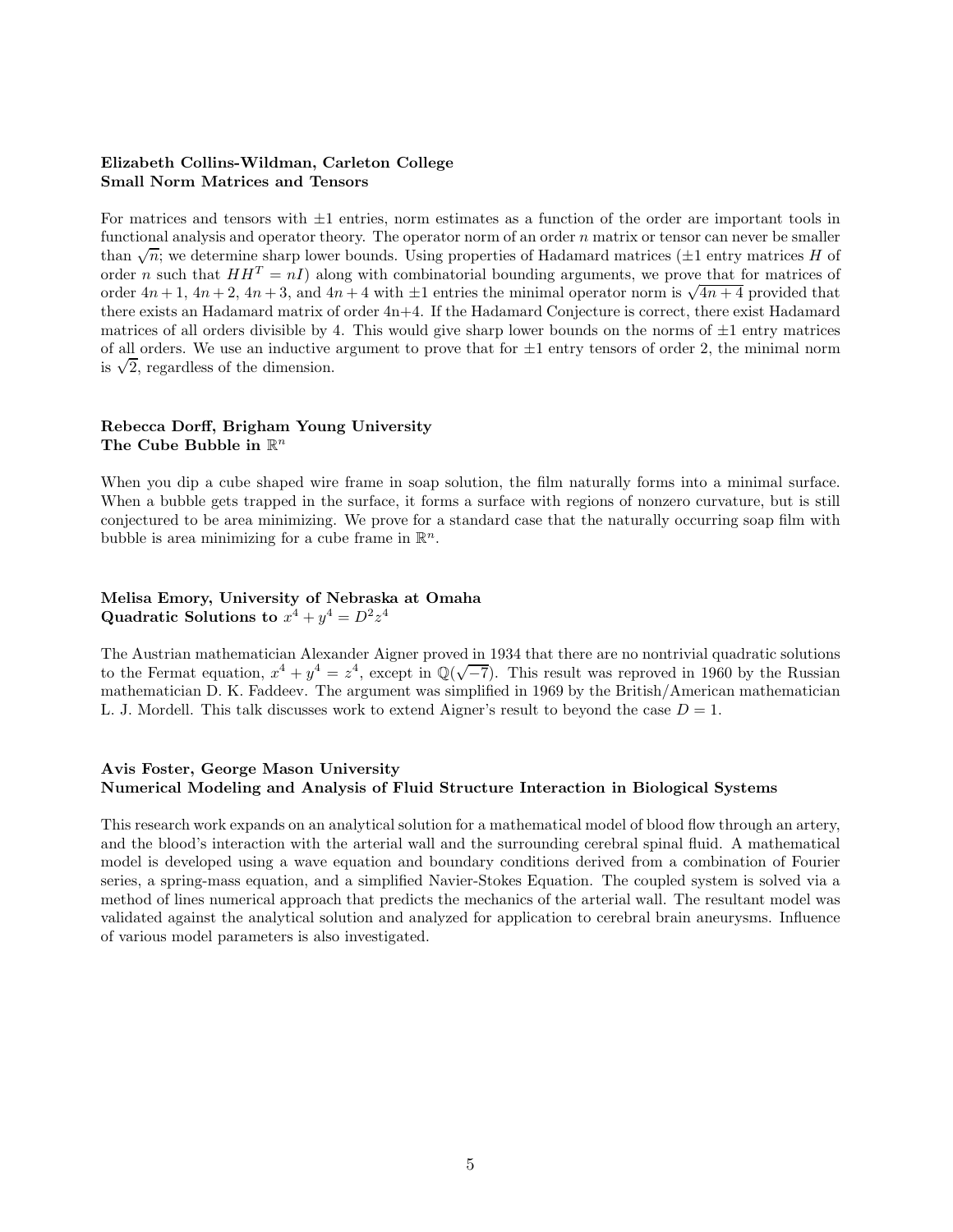#### Elizabeth Collins-Wildman, Carleton College Small Norm Matrices and Tensors

For matrices and tensors with  $\pm 1$  entries, norm estimates as a function of the order are important tools in functional analysis and operator theory. The operator norm of an order  $n$  matrix or tensor can never be smaller than  $\sqrt{n}$ ; we determine sharp lower bounds. Using properties of Hadamard matrices ( $\pm 1$  entry matrices H of order *n* such that  $HH^T = nI$ ) along with combinatorial bounding arguments, we prove that for matrices of order  $4n+1$ ,  $4n+2$ ,  $4n+3$ , and  $4n+4$  with  $\pm 1$  entries the minimal operator norm is  $\sqrt{4n+4}$  provided that there exists an Hadamard matrix of order 4n+4. If the Hadamard Conjecture is correct, there exist Hadamard matrices of all orders divisible by 4. This would give sharp lower bounds on the norms of  $\pm 1$  entry matrices of all orders. We use an inductive argument to prove that for  $\pm 1$  entry tensors of order 2, the minimal norm is  $\sqrt{2}$ , regardless of the dimension.

#### Rebecca Dorff, Brigham Young University The Cube Bubble in  $\mathbb{R}^n$

When you dip a cube shaped wire frame in soap solution, the film naturally forms into a minimal surface. When a bubble gets trapped in the surface, it forms a surface with regions of nonzero curvature, but is still conjectured to be area minimizing. We prove for a standard case that the naturally occurring soap film with bubble is area minimizing for a cube frame in  $\mathbb{R}^n$ .

#### Melisa Emory, University of Nebraska at Omaha Quadratic Solutions to  $x^4 + y^4 = D^2 z^4$

The Austrian mathematician Alexander Aigner proved in 1934 that there are no nontrivial quadratic solutions to the Fermat equation,  $x^4 + y^4 = z^4$ , except in  $\mathbb{Q}(\sqrt{-7})$ . This result was reproved in 1960 by the Russian mathematician D. K. Faddeev. The argument was simplified in 1969 by the British/American mathematician L. J. Mordell. This talk discusses work to extend Aigner's result to beyond the case  $D = 1$ .

#### Avis Foster, George Mason University Numerical Modeling and Analysis of Fluid Structure Interaction in Biological Systems

This research work expands on an analytical solution for a mathematical model of blood flow through an artery, and the blood's interaction with the arterial wall and the surrounding cerebral spinal fluid. A mathematical model is developed using a wave equation and boundary conditions derived from a combination of Fourier series, a spring-mass equation, and a simplified Navier-Stokes Equation. The coupled system is solved via a method of lines numerical approach that predicts the mechanics of the arterial wall. The resultant model was validated against the analytical solution and analyzed for application to cerebral brain aneurysms. Influence of various model parameters is also investigated.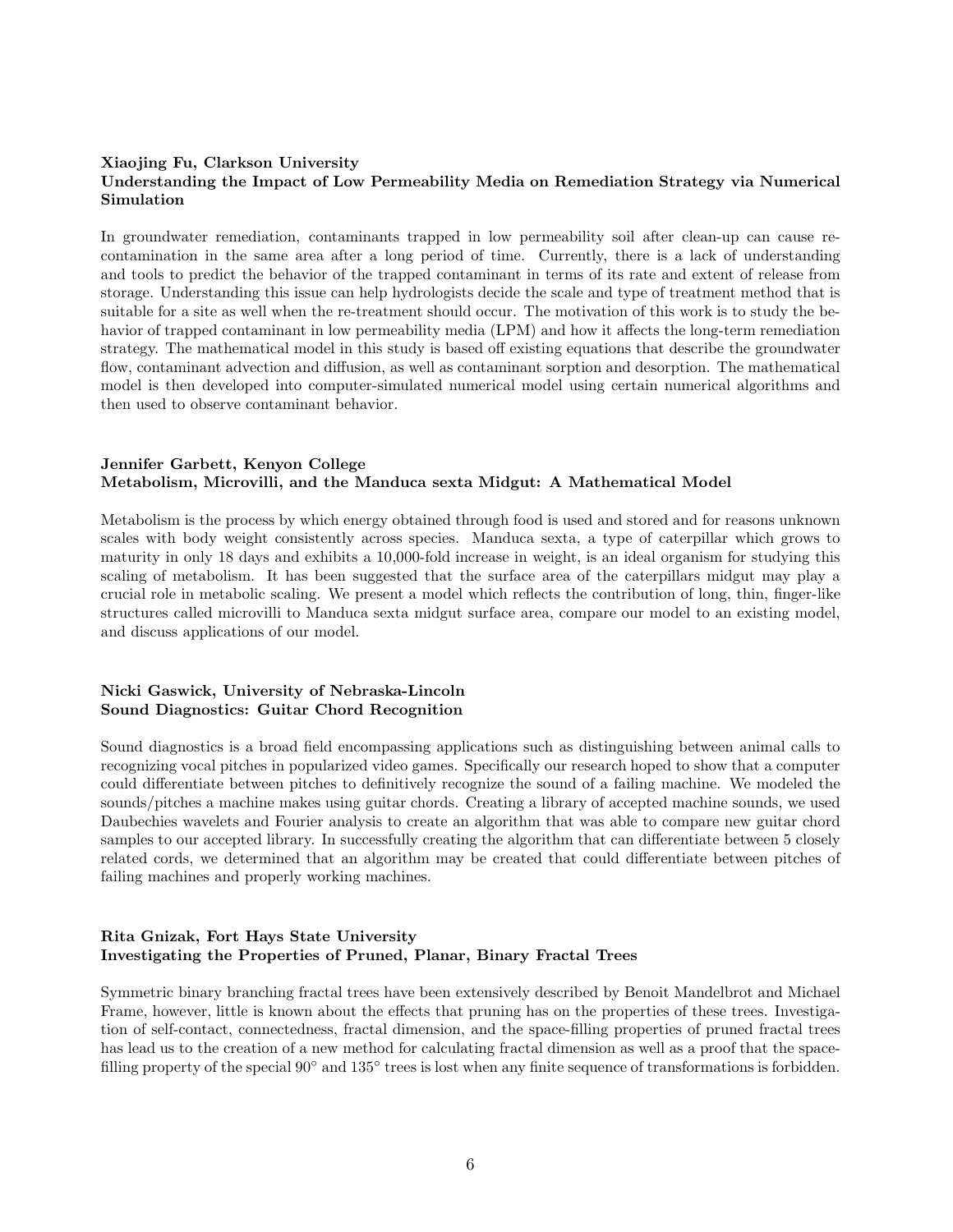#### Xiaojing Fu, Clarkson University Understanding the Impact of Low Permeability Media on Remediation Strategy via Numerical Simulation

In groundwater remediation, contaminants trapped in low permeability soil after clean-up can cause recontamination in the same area after a long period of time. Currently, there is a lack of understanding and tools to predict the behavior of the trapped contaminant in terms of its rate and extent of release from storage. Understanding this issue can help hydrologists decide the scale and type of treatment method that is suitable for a site as well when the re-treatment should occur. The motivation of this work is to study the behavior of trapped contaminant in low permeability media (LPM) and how it affects the long-term remediation strategy. The mathematical model in this study is based off existing equations that describe the groundwater flow, contaminant advection and diffusion, as well as contaminant sorption and desorption. The mathematical model is then developed into computer-simulated numerical model using certain numerical algorithms and then used to observe contaminant behavior.

#### Jennifer Garbett, Kenyon College Metabolism, Microvilli, and the Manduca sexta Midgut: A Mathematical Model

Metabolism is the process by which energy obtained through food is used and stored and for reasons unknown scales with body weight consistently across species. Manduca sexta, a type of caterpillar which grows to maturity in only 18 days and exhibits a 10,000-fold increase in weight, is an ideal organism for studying this scaling of metabolism. It has been suggested that the surface area of the caterpillars midgut may play a crucial role in metabolic scaling. We present a model which reflects the contribution of long, thin, finger-like structures called microvilli to Manduca sexta midgut surface area, compare our model to an existing model, and discuss applications of our model.

#### Nicki Gaswick, University of Nebraska-Lincoln Sound Diagnostics: Guitar Chord Recognition

Sound diagnostics is a broad field encompassing applications such as distinguishing between animal calls to recognizing vocal pitches in popularized video games. Specifically our research hoped to show that a computer could differentiate between pitches to definitively recognize the sound of a failing machine. We modeled the sounds/pitches a machine makes using guitar chords. Creating a library of accepted machine sounds, we used Daubechies wavelets and Fourier analysis to create an algorithm that was able to compare new guitar chord samples to our accepted library. In successfully creating the algorithm that can differentiate between 5 closely related cords, we determined that an algorithm may be created that could differentiate between pitches of failing machines and properly working machines.

#### Rita Gnizak, Fort Hays State University Investigating the Properties of Pruned, Planar, Binary Fractal Trees

Symmetric binary branching fractal trees have been extensively described by Benoit Mandelbrot and Michael Frame, however, little is known about the effects that pruning has on the properties of these trees. Investigation of self-contact, connectedness, fractal dimension, and the space-filling properties of pruned fractal trees has lead us to the creation of a new method for calculating fractal dimension as well as a proof that the spacefilling property of the special 90<sup>∘</sup> and 135<sup>∘</sup> trees is lost when any finite sequence of transformations is forbidden.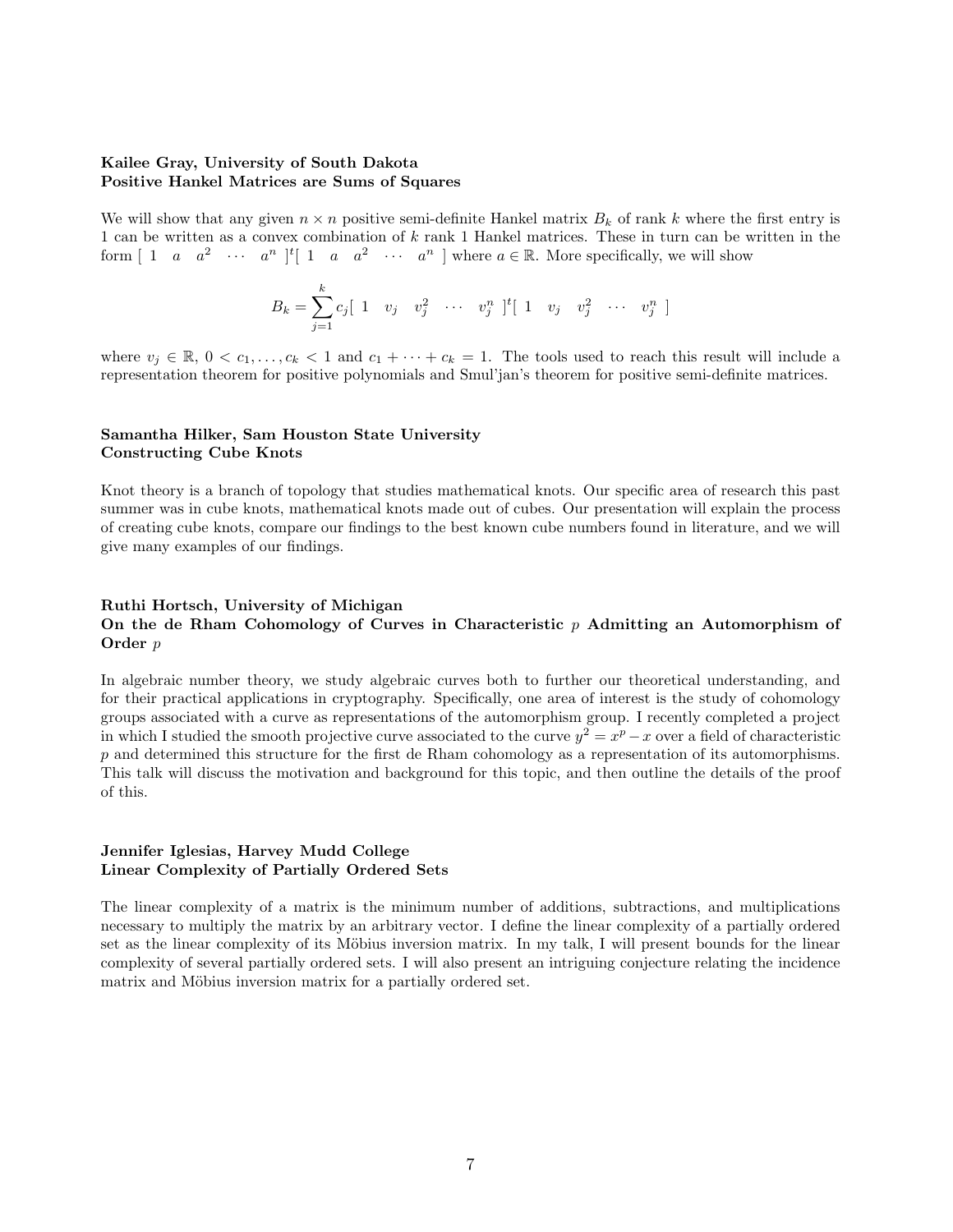#### Kailee Gray, University of South Dakota Positive Hankel Matrices are Sums of Squares

We will show that any given  $n \times n$  positive semi-definite Hankel matrix  $B_k$  of rank k where the first entry is 1 can be written as a convex combination of  $k$  rank 1 Hankel matrices. These in turn can be written in the form  $[1 \ a \ a^2 \ \cdots \ a^n]$ <sup>t</sup> $[1 \ a \ a^2 \ \cdots \ a^n]$  where  $a \in \mathbb{R}$ . More specifically, we will show

$$
B_k = \sum_{j=1}^k c_j [ 1 \quad v_j \quad v_j^2 \quad \cdots \quad v_j^n \ ]^t [ 1 \quad v_j \quad v_j^2 \quad \cdots \quad v_j^n ]
$$

where  $v_j \in \mathbb{R}, 0 < c_1, \ldots, c_k < 1$  and  $c_1 + \cdots + c_k = 1$ . The tools used to reach this result will include a representation theorem for positive polynomials and Smul'jan's theorem for positive semi-definite matrices.

#### Samantha Hilker, Sam Houston State University Constructing Cube Knots

Knot theory is a branch of topology that studies mathematical knots. Our specific area of research this past summer was in cube knots, mathematical knots made out of cubes. Our presentation will explain the process of creating cube knots, compare our findings to the best known cube numbers found in literature, and we will give many examples of our findings.

#### Ruthi Hortsch, University of Michigan On the de Rham Cohomology of Curves in Characteristic  $p$  Admitting an Automorphism of Order  $p$

In algebraic number theory, we study algebraic curves both to further our theoretical understanding, and for their practical applications in cryptography. Specifically, one area of interest is the study of cohomology groups associated with a curve as representations of the automorphism group. I recently completed a project in which I studied the smooth projective curve associated to the curve  $y^2 = x^p - x$  over a field of characteristic  $p$  and determined this structure for the first de Rham cohomology as a representation of its automorphisms. This talk will discuss the motivation and background for this topic, and then outline the details of the proof of this.

#### Jennifer Iglesias, Harvey Mudd College Linear Complexity of Partially Ordered Sets

The linear complexity of a matrix is the minimum number of additions, subtractions, and multiplications necessary to multiply the matrix by an arbitrary vector. I define the linear complexity of a partially ordered set as the linear complexity of its Möbius inversion matrix. In my talk, I will present bounds for the linear complexity of several partially ordered sets. I will also present an intriguing conjecture relating the incidence matrix and Möbius inversion matrix for a partially ordered set.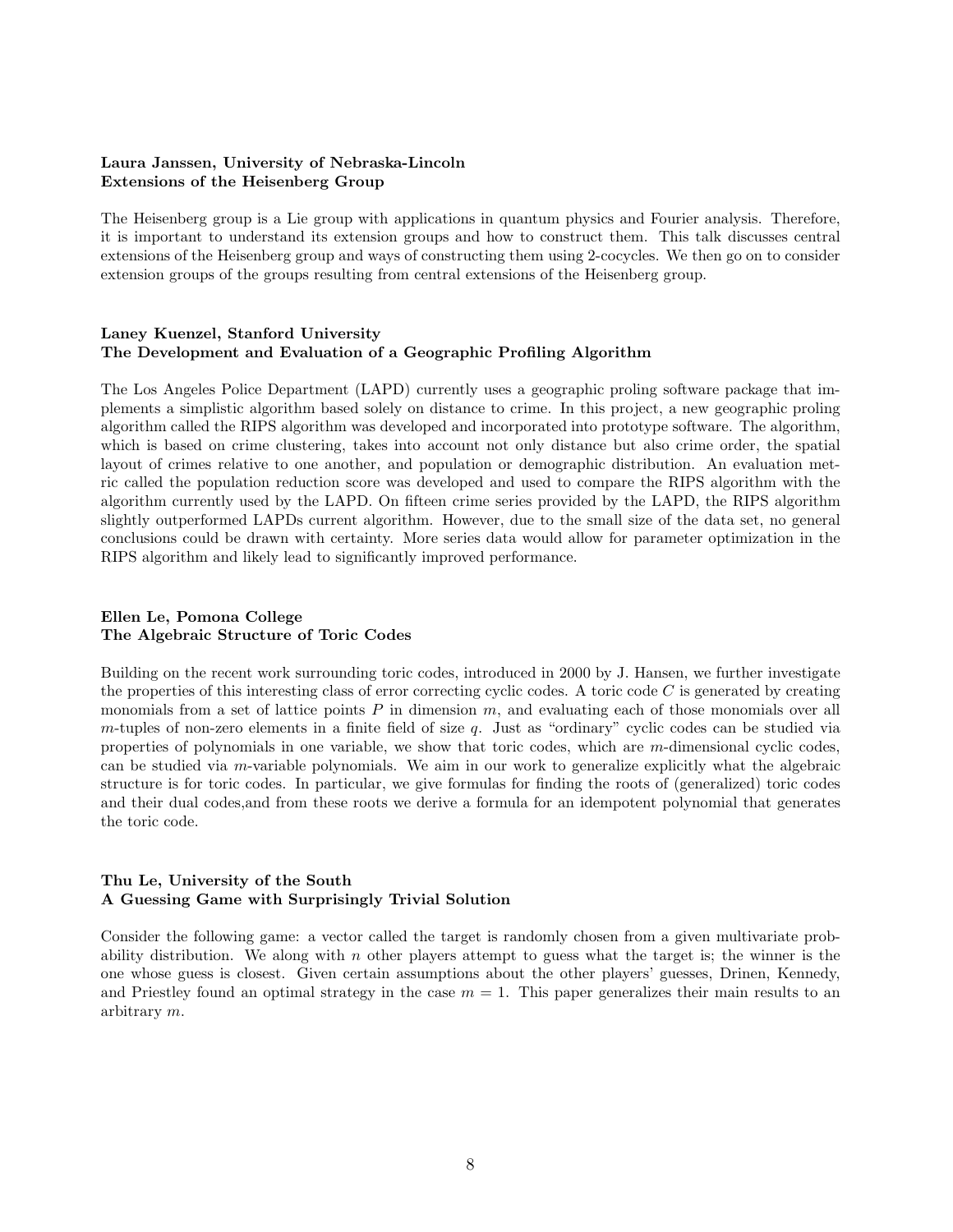#### Laura Janssen, University of Nebraska-Lincoln Extensions of the Heisenberg Group

The Heisenberg group is a Lie group with applications in quantum physics and Fourier analysis. Therefore, it is important to understand its extension groups and how to construct them. This talk discusses central extensions of the Heisenberg group and ways of constructing them using 2-cocycles. We then go on to consider extension groups of the groups resulting from central extensions of the Heisenberg group.

#### Laney Kuenzel, Stanford University The Development and Evaluation of a Geographic Profiling Algorithm

The Los Angeles Police Department (LAPD) currently uses a geographic proling software package that implements a simplistic algorithm based solely on distance to crime. In this project, a new geographic proling algorithm called the RIPS algorithm was developed and incorporated into prototype software. The algorithm, which is based on crime clustering, takes into account not only distance but also crime order, the spatial layout of crimes relative to one another, and population or demographic distribution. An evaluation metric called the population reduction score was developed and used to compare the RIPS algorithm with the algorithm currently used by the LAPD. On fifteen crime series provided by the LAPD, the RIPS algorithm slightly outperformed LAPDs current algorithm. However, due to the small size of the data set, no general conclusions could be drawn with certainty. More series data would allow for parameter optimization in the RIPS algorithm and likely lead to significantly improved performance.

#### Ellen Le, Pomona College The Algebraic Structure of Toric Codes

Building on the recent work surrounding toric codes, introduced in 2000 by J. Hansen, we further investigate the properties of this interesting class of error correcting cyclic codes. A toric code  $C$  is generated by creating monomials from a set of lattice points  $P$  in dimension  $m$ , and evaluating each of those monomials over all  $m$ -tuples of non-zero elements in a finite field of size  $q$ . Just as "ordinary" cyclic codes can be studied via properties of polynomials in one variable, we show that toric codes, which are  $m$ -dimensional cyclic codes, can be studied via  $m$ -variable polynomials. We aim in our work to generalize explicitly what the algebraic structure is for toric codes. In particular, we give formulas for finding the roots of (generalized) toric codes and their dual codes,and from these roots we derive a formula for an idempotent polynomial that generates the toric code.

#### Thu Le, University of the South A Guessing Game with Surprisingly Trivial Solution

Consider the following game: a vector called the target is randomly chosen from a given multivariate probability distribution. We along with  $n$  other players attempt to guess what the target is; the winner is the one whose guess is closest. Given certain assumptions about the other players' guesses, Drinen, Kennedy, and Priestley found an optimal strategy in the case  $m = 1$ . This paper generalizes their main results to an arbitrary m.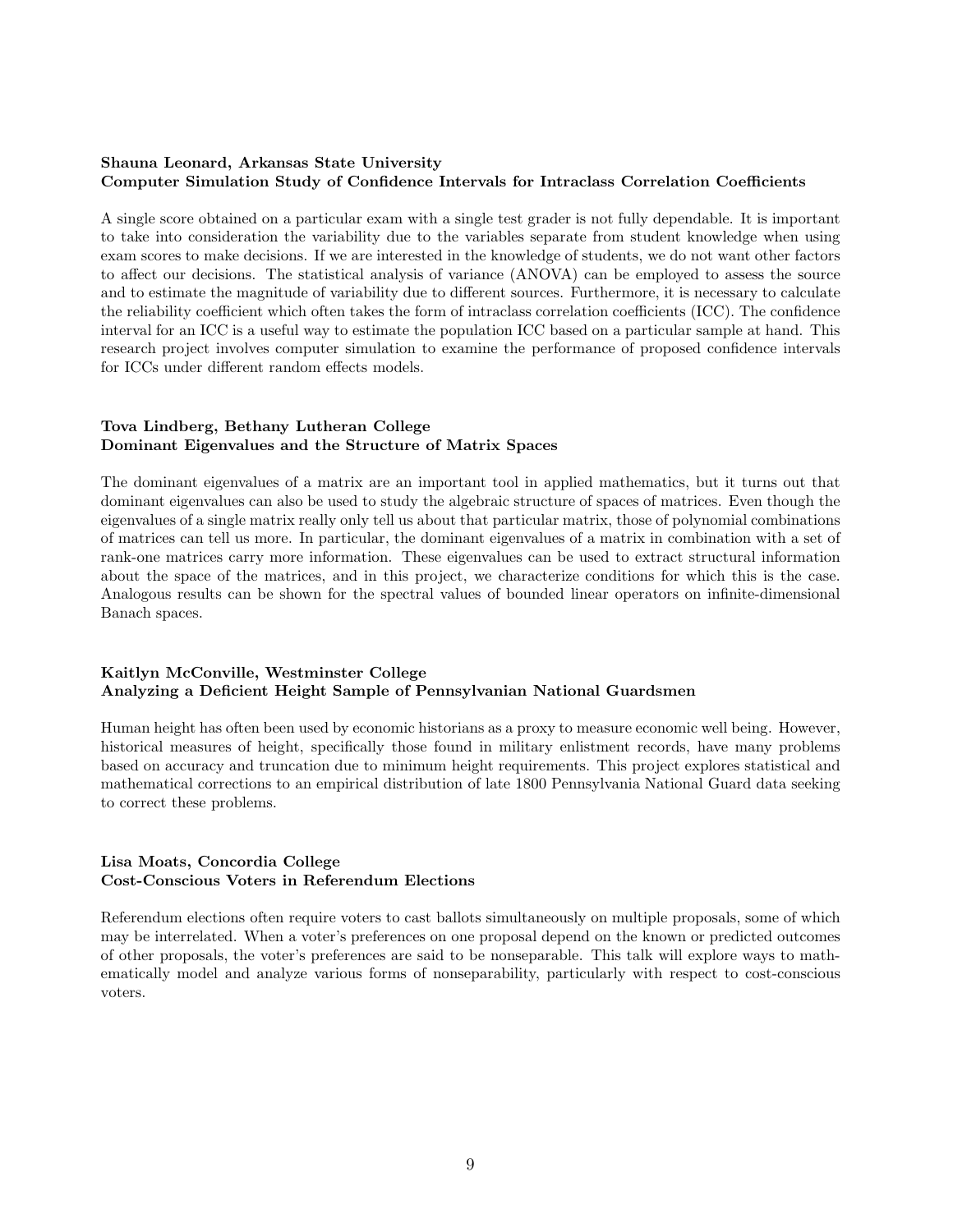#### Shauna Leonard, Arkansas State University Computer Simulation Study of Confidence Intervals for Intraclass Correlation Coefficients

A single score obtained on a particular exam with a single test grader is not fully dependable. It is important to take into consideration the variability due to the variables separate from student knowledge when using exam scores to make decisions. If we are interested in the knowledge of students, we do not want other factors to affect our decisions. The statistical analysis of variance (ANOVA) can be employed to assess the source and to estimate the magnitude of variability due to different sources. Furthermore, it is necessary to calculate the reliability coefficient which often takes the form of intraclass correlation coefficients (ICC). The confidence interval for an ICC is a useful way to estimate the population ICC based on a particular sample at hand. This research project involves computer simulation to examine the performance of proposed confidence intervals for ICCs under different random effects models.

#### Tova Lindberg, Bethany Lutheran College Dominant Eigenvalues and the Structure of Matrix Spaces

The dominant eigenvalues of a matrix are an important tool in applied mathematics, but it turns out that dominant eigenvalues can also be used to study the algebraic structure of spaces of matrices. Even though the eigenvalues of a single matrix really only tell us about that particular matrix, those of polynomial combinations of matrices can tell us more. In particular, the dominant eigenvalues of a matrix in combination with a set of rank-one matrices carry more information. These eigenvalues can be used to extract structural information about the space of the matrices, and in this project, we characterize conditions for which this is the case. Analogous results can be shown for the spectral values of bounded linear operators on infinite-dimensional Banach spaces.

#### Kaitlyn McConville, Westminster College Analyzing a Deficient Height Sample of Pennsylvanian National Guardsmen

Human height has often been used by economic historians as a proxy to measure economic well being. However, historical measures of height, specifically those found in military enlistment records, have many problems based on accuracy and truncation due to minimum height requirements. This project explores statistical and mathematical corrections to an empirical distribution of late 1800 Pennsylvania National Guard data seeking to correct these problems.

#### Lisa Moats, Concordia College Cost-Conscious Voters in Referendum Elections

Referendum elections often require voters to cast ballots simultaneously on multiple proposals, some of which may be interrelated. When a voter's preferences on one proposal depend on the known or predicted outcomes of other proposals, the voter's preferences are said to be nonseparable. This talk will explore ways to mathematically model and analyze various forms of nonseparability, particularly with respect to cost-conscious voters.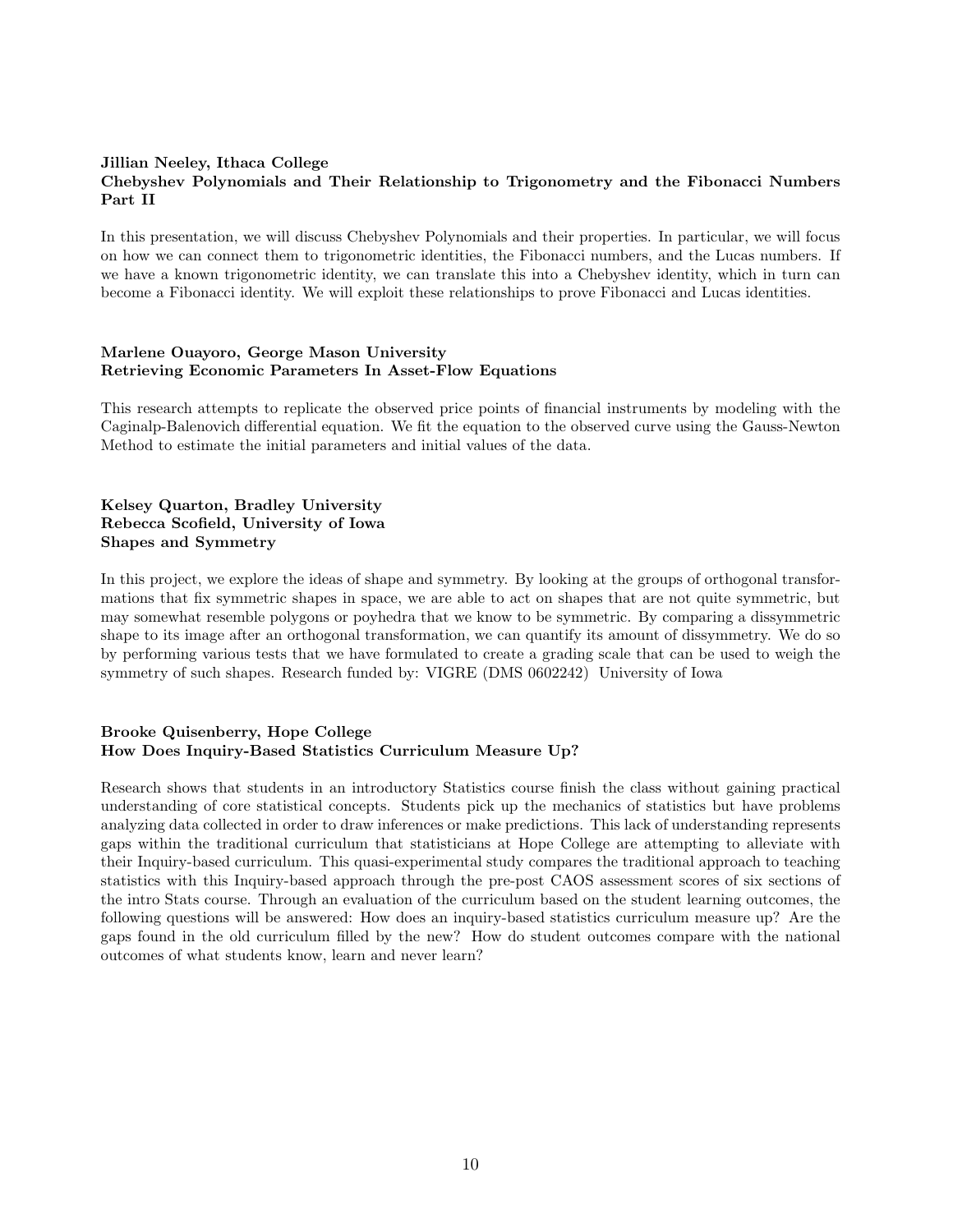#### Jillian Neeley, Ithaca College Chebyshev Polynomials and Their Relationship to Trigonometry and the Fibonacci Numbers Part II

In this presentation, we will discuss Chebyshev Polynomials and their properties. In particular, we will focus on how we can connect them to trigonometric identities, the Fibonacci numbers, and the Lucas numbers. If we have a known trigonometric identity, we can translate this into a Chebyshev identity, which in turn can become a Fibonacci identity. We will exploit these relationships to prove Fibonacci and Lucas identities.

#### Marlene Ouayoro, George Mason University Retrieving Economic Parameters In Asset-Flow Equations

This research attempts to replicate the observed price points of financial instruments by modeling with the Caginalp-Balenovich differential equation. We fit the equation to the observed curve using the Gauss-Newton Method to estimate the initial parameters and initial values of the data.

#### Kelsey Quarton, Bradley University Rebecca Scofield, University of Iowa Shapes and Symmetry

In this project, we explore the ideas of shape and symmetry. By looking at the groups of orthogonal transformations that fix symmetric shapes in space, we are able to act on shapes that are not quite symmetric, but may somewhat resemble polygons or poyhedra that we know to be symmetric. By comparing a dissymmetric shape to its image after an orthogonal transformation, we can quantify its amount of dissymmetry. We do so by performing various tests that we have formulated to create a grading scale that can be used to weigh the symmetry of such shapes. Research funded by: VIGRE (DMS 0602242) University of Iowa

#### Brooke Quisenberry, Hope College How Does Inquiry-Based Statistics Curriculum Measure Up?

Research shows that students in an introductory Statistics course finish the class without gaining practical understanding of core statistical concepts. Students pick up the mechanics of statistics but have problems analyzing data collected in order to draw inferences or make predictions. This lack of understanding represents gaps within the traditional curriculum that statisticians at Hope College are attempting to alleviate with their Inquiry-based curriculum. This quasi-experimental study compares the traditional approach to teaching statistics with this Inquiry-based approach through the pre-post CAOS assessment scores of six sections of the intro Stats course. Through an evaluation of the curriculum based on the student learning outcomes, the following questions will be answered: How does an inquiry-based statistics curriculum measure up? Are the gaps found in the old curriculum filled by the new? How do student outcomes compare with the national outcomes of what students know, learn and never learn?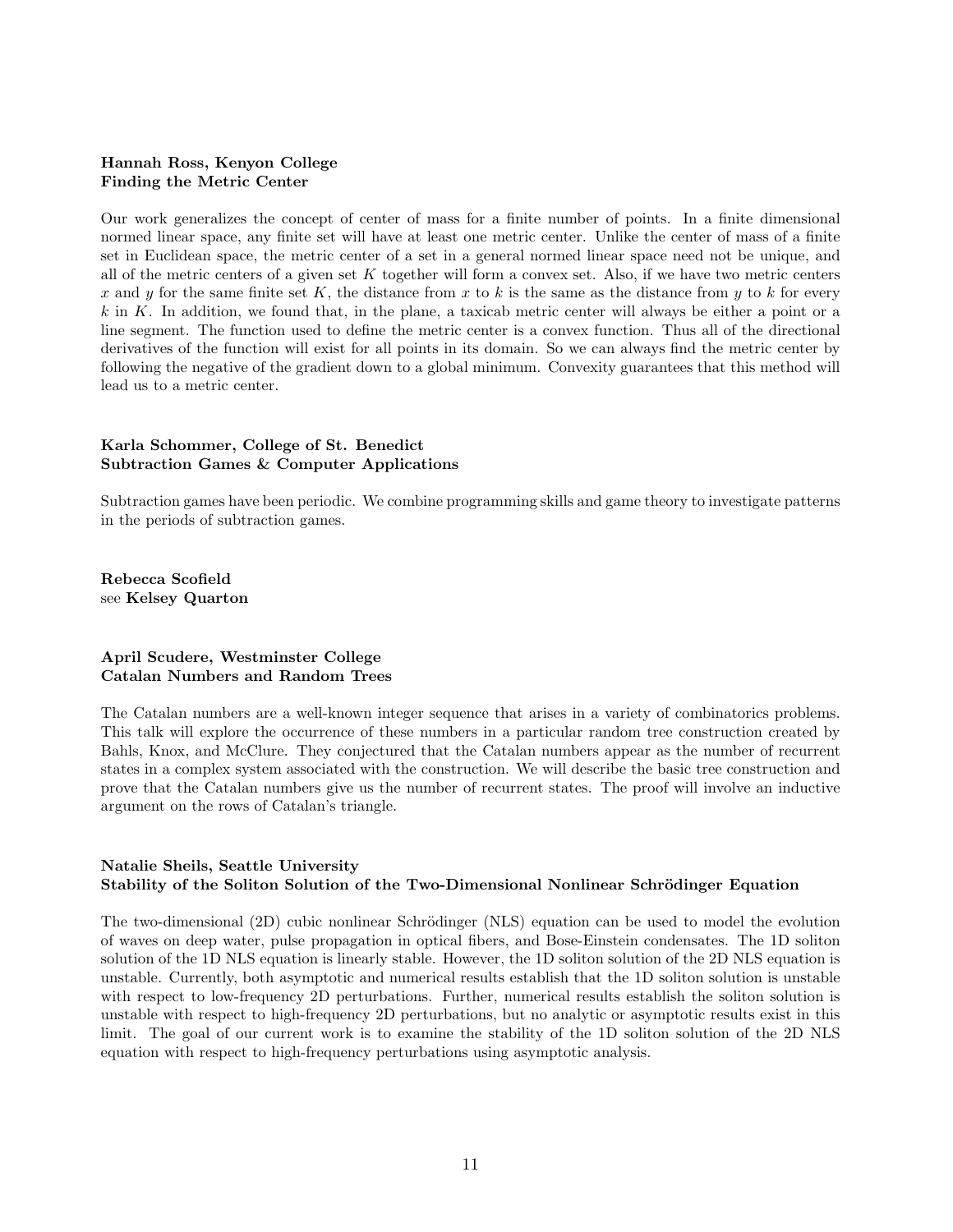#### Hannah Ross, Kenyon College Finding the Metric Center

Our work generalizes the concept of center of mass for a finite number of points. In a finite dimensional normed linear space, any finite set will have at least one metric center. Unlike the center of mass of a finite set in Euclidean space, the metric center of a set in a general normed linear space need not be unique, and all of the metric centers of a given set  $K$  together will form a convex set. Also, if we have two metric centers x and y for the same finite set K, the distance from x to k is the same as the distance from y to k for every  $k$  in  $K$ . In addition, we found that, in the plane, a taxicab metric center will always be either a point or a line segment. The function used to define the metric center is a convex function. Thus all of the directional derivatives of the function will exist for all points in its domain. So we can always find the metric center by following the negative of the gradient down to a global minimum. Convexity guarantees that this method will lead us to a metric center.

#### Karla Schommer, College of St. Benedict Subtraction Games & Computer Applications

Subtraction games have been periodic. We combine programming skills and game theory to investigate patterns in the periods of subtraction games.

Rebecca Scofield see Kelsey Quarton

#### April Scudere, Westminster College Catalan Numbers and Random Trees

The Catalan numbers are a well-known integer sequence that arises in a variety of combinatorics problems. This talk will explore the occurrence of these numbers in a particular random tree construction created by Bahls, Knox, and McClure. They conjectured that the Catalan numbers appear as the number of recurrent states in a complex system associated with the construction. We will describe the basic tree construction and prove that the Catalan numbers give us the number of recurrent states. The proof will involve an inductive argument on the rows of Catalan's triangle.

#### Natalie Sheils, Seattle University Stability of the Soliton Solution of the Two-Dimensional Nonlinear Schrödinger Equation

The two-dimensional (2D) cubic nonlinear Schrödinger (NLS) equation can be used to model the evolution of waves on deep water, pulse propagation in optical fibers, and Bose-Einstein condensates. The 1D soliton solution of the 1D NLS equation is linearly stable. However, the 1D soliton solution of the 2D NLS equation is unstable. Currently, both asymptotic and numerical results establish that the 1D soliton solution is unstable with respect to low-frequency 2D perturbations. Further, numerical results establish the soliton solution is unstable with respect to high-frequency 2D perturbations, but no analytic or asymptotic results exist in this limit. The goal of our current work is to examine the stability of the 1D soliton solution of the 2D NLS equation with respect to high-frequency perturbations using asymptotic analysis.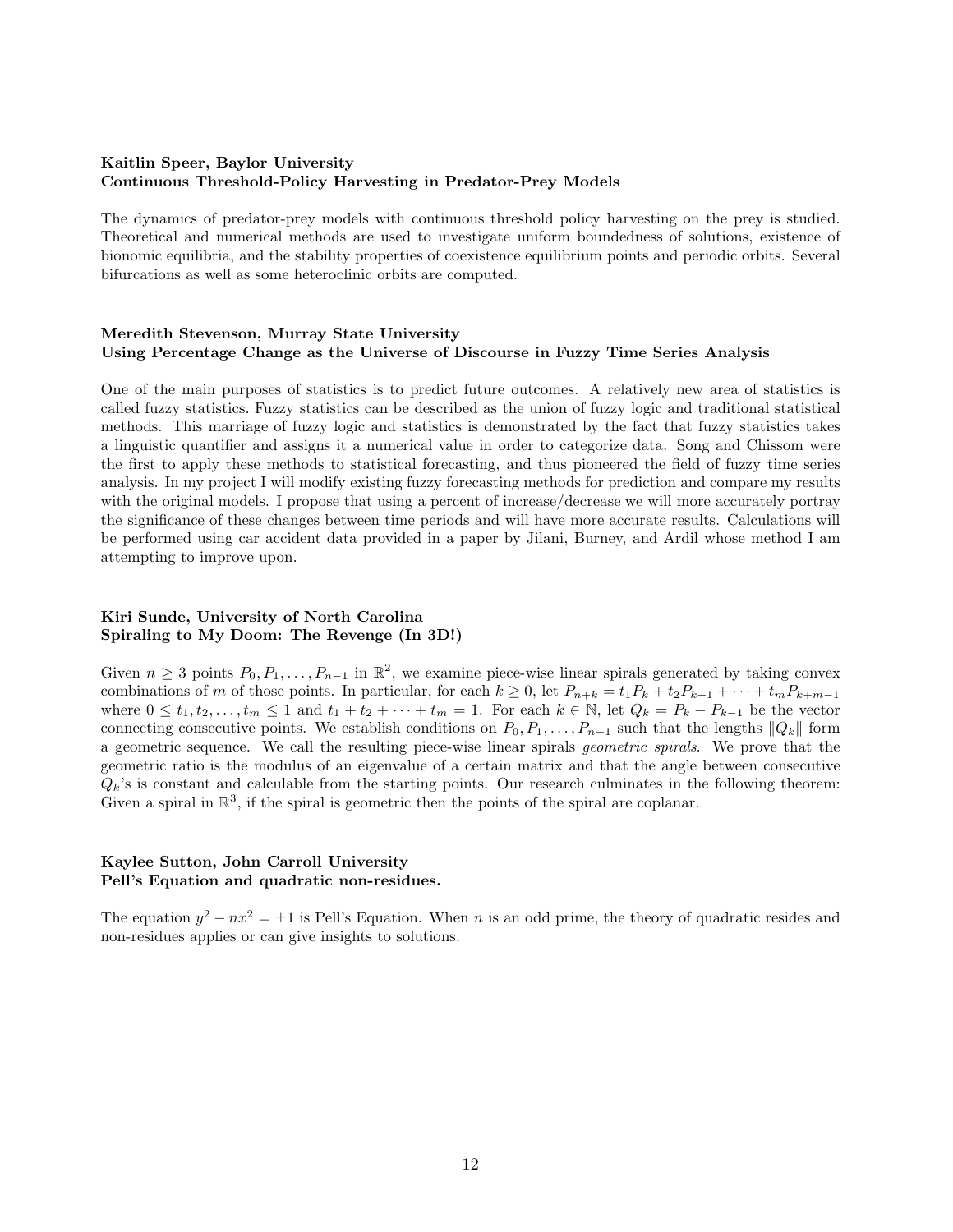#### Kaitlin Speer, Baylor University Continuous Threshold-Policy Harvesting in Predator-Prey Models

The dynamics of predator-prey models with continuous threshold policy harvesting on the prey is studied. Theoretical and numerical methods are used to investigate uniform boundedness of solutions, existence of bionomic equilibria, and the stability properties of coexistence equilibrium points and periodic orbits. Several bifurcations as well as some heteroclinic orbits are computed.

#### Meredith Stevenson, Murray State University Using Percentage Change as the Universe of Discourse in Fuzzy Time Series Analysis

One of the main purposes of statistics is to predict future outcomes. A relatively new area of statistics is called fuzzy statistics. Fuzzy statistics can be described as the union of fuzzy logic and traditional statistical methods. This marriage of fuzzy logic and statistics is demonstrated by the fact that fuzzy statistics takes a linguistic quantifier and assigns it a numerical value in order to categorize data. Song and Chissom were the first to apply these methods to statistical forecasting, and thus pioneered the field of fuzzy time series analysis. In my project I will modify existing fuzzy forecasting methods for prediction and compare my results with the original models. I propose that using a percent of increase/decrease we will more accurately portray the significance of these changes between time periods and will have more accurate results. Calculations will be performed using car accident data provided in a paper by Jilani, Burney, and Ardil whose method I am attempting to improve upon.

#### Kiri Sunde, University of North Carolina Spiraling to My Doom: The Revenge (In 3D!)

Given  $n \geq 3$  points  $P_0, P_1, \ldots, P_{n-1}$  in  $\mathbb{R}^2$ , we examine piece-wise linear spirals generated by taking convex combinations of m of those points. In particular, for each  $k \geq 0$ , let  $P_{n+k} = t_1 P_k + t_2 P_{k+1} + \cdots + t_m P_{k+m-1}$ where  $0 \leq t_1, t_2, \ldots, t_m \leq 1$  and  $t_1 + t_2 + \cdots + t_m = 1$ . For each  $k \in \mathbb{N}$ , let  $Q_k = P_k - P_{k-1}$  be the vector connecting consecutive points. We establish conditions on  $P_0, P_1, \ldots, P_{n-1}$  such that the lengths  $||Q_k||$  form a geometric sequence. We call the resulting piece-wise linear spirals *geometric spirals*. We prove that the geometric ratio is the modulus of an eigenvalue of a certain matrix and that the angle between consecutive  $Q_k$ 's is constant and calculable from the starting points. Our research culminates in the following theorem: Given a spiral in  $\mathbb{R}^3$ , if the spiral is geometric then the points of the spiral are coplanar.

#### Kaylee Sutton, John Carroll University Pell's Equation and quadratic non-residues.

The equation  $y^2 - nx^2 = \pm 1$  is Pell's Equation. When *n* is an odd prime, the theory of quadratic resides and non-residues applies or can give insights to solutions.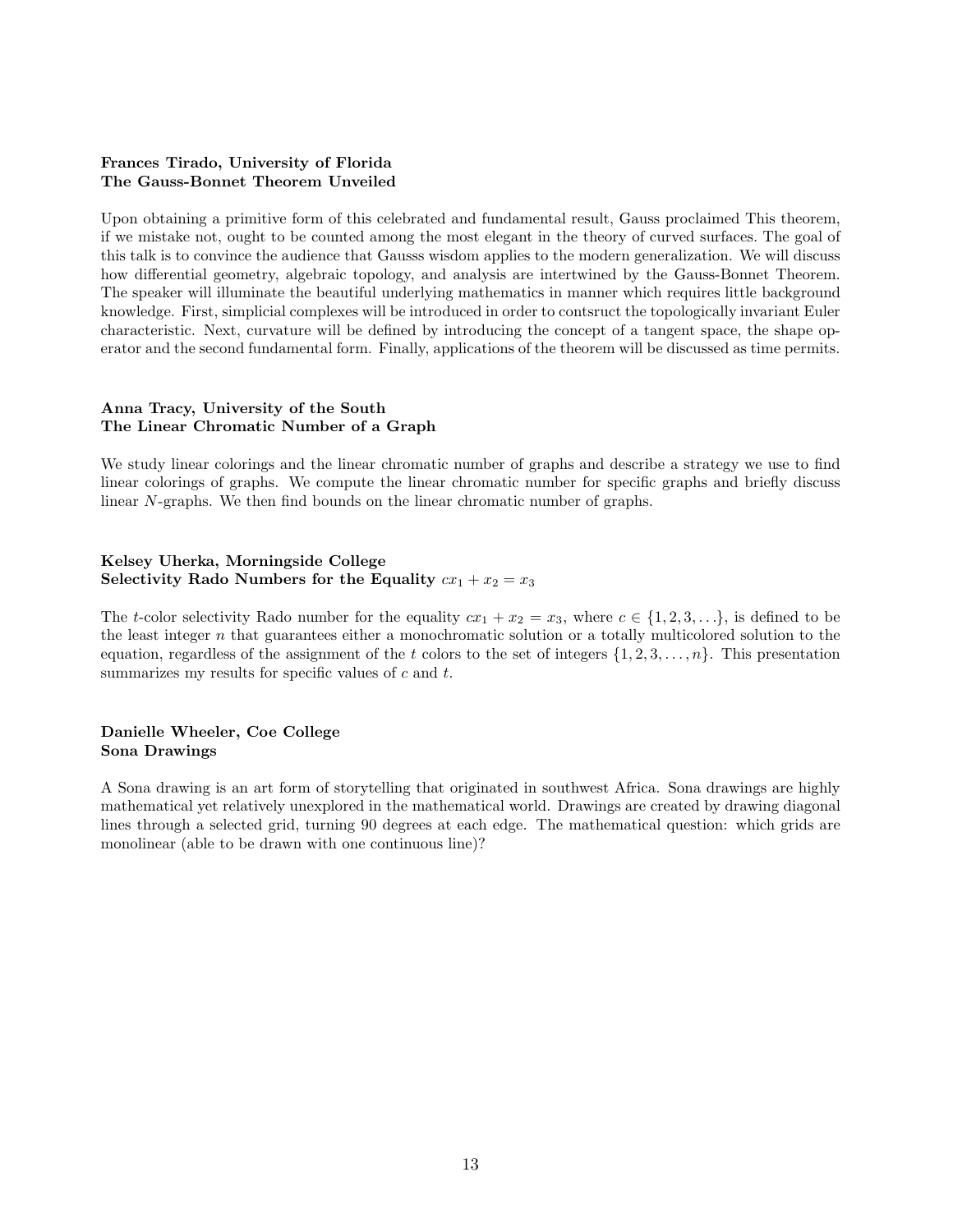#### Frances Tirado, University of Florida The Gauss-Bonnet Theorem Unveiled

Upon obtaining a primitive form of this celebrated and fundamental result, Gauss proclaimed This theorem, if we mistake not, ought to be counted among the most elegant in the theory of curved surfaces. The goal of this talk is to convince the audience that Gausss wisdom applies to the modern generalization. We will discuss how differential geometry, algebraic topology, and analysis are intertwined by the Gauss-Bonnet Theorem. The speaker will illuminate the beautiful underlying mathematics in manner which requires little background knowledge. First, simplicial complexes will be introduced in order to contsruct the topologically invariant Euler characteristic. Next, curvature will be defined by introducing the concept of a tangent space, the shape operator and the second fundamental form. Finally, applications of the theorem will be discussed as time permits.

#### Anna Tracy, University of the South The Linear Chromatic Number of a Graph

We study linear colorings and the linear chromatic number of graphs and describe a strategy we use to find linear colorings of graphs. We compute the linear chromatic number for specific graphs and briefly discuss linear N-graphs. We then find bounds on the linear chromatic number of graphs.

#### Kelsey Uherka, Morningside College Selectivity Rado Numbers for the Equality  $cx_1 + x_2 = x_3$

The *t*-color selectivity Rado number for the equality  $cx_1 + x_2 = x_3$ , where  $c \in \{1, 2, 3, ...\}$ , is defined to be the least integer  $n$  that guarantees either a monochromatic solution or a totally multicolored solution to the equation, regardless of the assignment of the t colors to the set of integers  $\{1, 2, 3, \ldots, n\}$ . This presentation summarizes my results for specific values of  $c$  and  $t$ .

#### Danielle Wheeler, Coe College Sona Drawings

A Sona drawing is an art form of storytelling that originated in southwest Africa. Sona drawings are highly mathematical yet relatively unexplored in the mathematical world. Drawings are created by drawing diagonal lines through a selected grid, turning 90 degrees at each edge. The mathematical question: which grids are monolinear (able to be drawn with one continuous line)?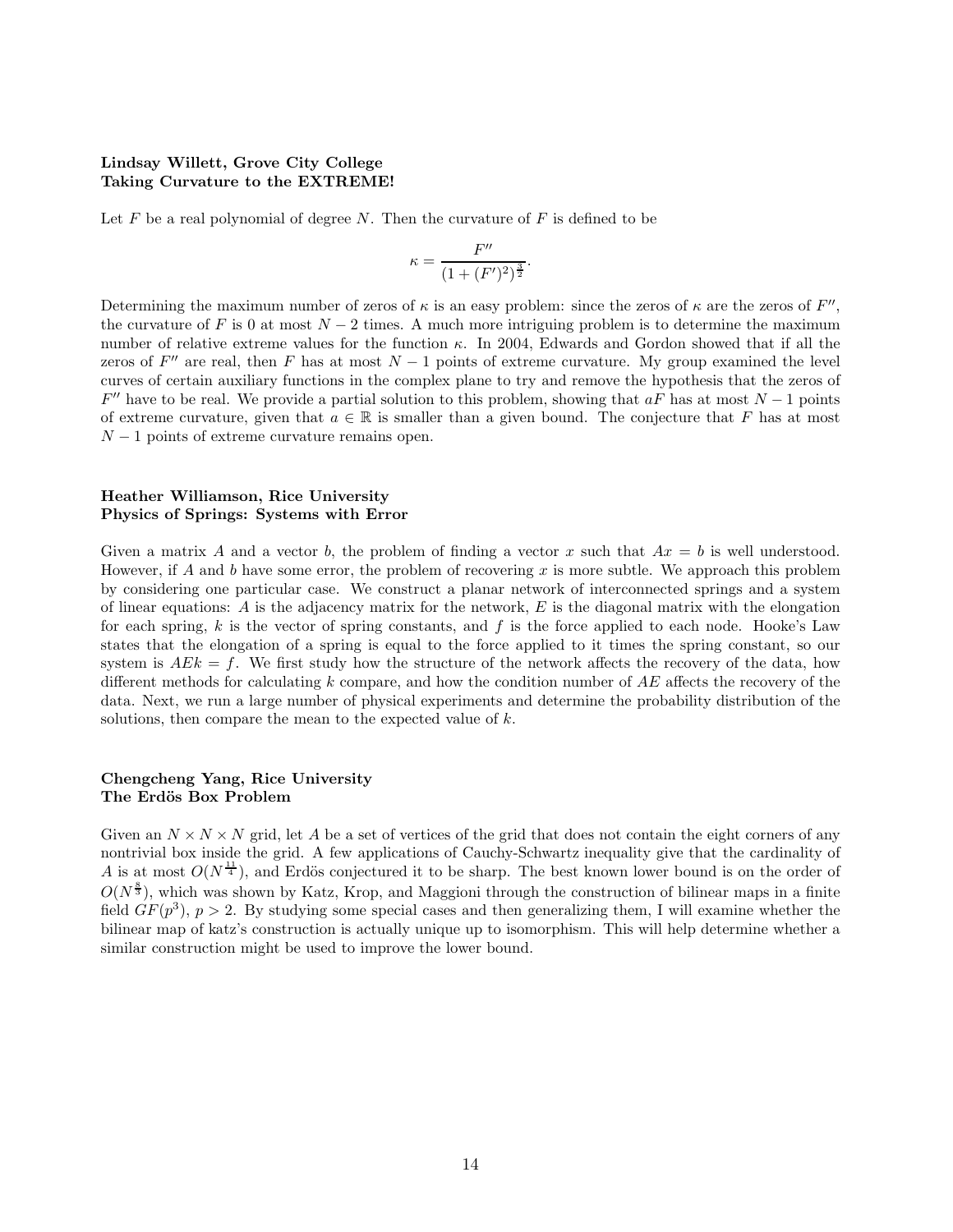#### Lindsay Willett, Grove City College Taking Curvature to the EXTREME!

Let  $F$  be a real polynomial of degree  $N$ . Then the curvature of  $F$  is defined to be

$$
\kappa = \frac{F''}{(1 + (F')^2)^{\frac{3}{2}}}.
$$

Determining the maximum number of zeros of  $\kappa$  is an easy problem: since the zeros of  $\kappa$  are the zeros of  $F''$ , the curvature of  $F$  is 0 at most  $N-2$  times. A much more intriguing problem is to determine the maximum number of relative extreme values for the function  $\kappa$ . In 2004, Edwards and Gordon showed that if all the zeros of  $F''$  are real, then  $F$  has at most  $N-1$  points of extreme curvature. My group examined the level curves of certain auxiliary functions in the complex plane to try and remove the hypothesis that the zeros of  $F''$  have to be real. We provide a partial solution to this problem, showing that  $a\tilde{F}$  has at most  $N-1$  points of extreme curvature, given that  $a \in \mathbb{R}$  is smaller than a given bound. The conjecture that F has at most  $N-1$  points of extreme curvature remains open.

#### Heather Williamson, Rice University Physics of Springs: Systems with Error

Given a matrix A and a vector b, the problem of finding a vector x such that  $Ax = b$  is well understood. However, if A and b have some error, the problem of recovering x is more subtle. We approach this problem by considering one particular case. We construct a planar network of interconnected springs and a system of linear equations:  $\vec{A}$  is the adjacency matrix for the network,  $\vec{E}$  is the diagonal matrix with the elongation for each spring,  $k$  is the vector of spring constants, and  $f$  is the force applied to each node. Hooke's Law states that the elongation of a spring is equal to the force applied to it times the spring constant, so our system is  $AEk = f$ . We first study how the structure of the network affects the recovery of the data, how different methods for calculating  $k$  compare, and how the condition number of  $AE$  affects the recovery of the data. Next, we run a large number of physical experiments and determine the probability distribution of the solutions, then compare the mean to the expected value of  $k$ .

#### Chengcheng Yang, Rice University The Erdös Box Problem

Given an  $N \times N \times N$  grid, let A be a set of vertices of the grid that does not contain the eight corners of any nontrivial box inside the grid. A few applications of Cauchy-Schwartz inequality give that the cardinality of A is at most  $O(N^{\frac{11}{4}})$ , and Erdös conjectured it to be sharp. The best known lower bound is on the order of  $O(N^{\frac{8}{3}})$ , which was shown by Katz, Krop, and Maggioni through the construction of bilinear maps in a finite field  $GF(p^3)$ ,  $p > 2$ . By studying some special cases and then generalizing them, I will examine whether the bilinear map of katz's construction is actually unique up to isomorphism. This will help determine whether a similar construction might be used to improve the lower bound.